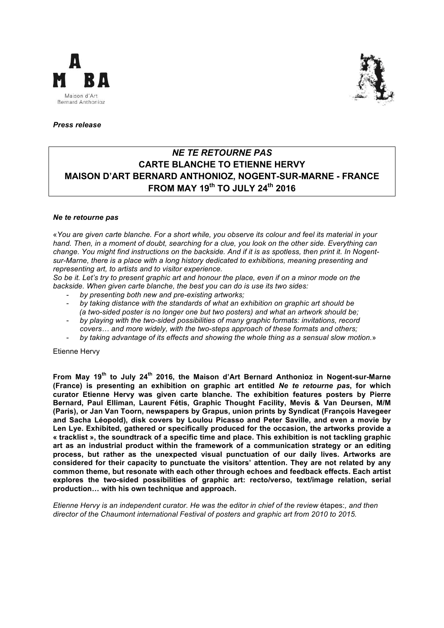



## *Press release*

# *NE TE RETOURNE PAS*  **CARTE BLANCHE TO ETIENNE HERVY MAISON D'ART BERNARD ANTHONIOZ, NOGENT-SUR-MARNE - FRANCE FROM MAY 19th TO JULY 24th 2016**

#### *Ne te retourne pas*

«*You are given carte blanche. For a short while, you observe its colour and feel its material in your hand. Then, in a moment of doubt, searching for a clue, you look on the other side. Everything can change. You might find instructions on the backside. And if it is as spotless, then print it. In Nogentsur-Marne, there is a place with a long history dedicated to exhibitions, meaning presenting and representing art, to artists and to visitor experience.* 

*So be it. Let's try to present graphic art and honour the place, even if on a minor mode on the backside. When given carte blanche, the best you can do is use its two sides:* 

- *by presenting both new and pre-existing artworks;*
- *by taking distance with the standards of what an exhibition on graphic art should be (a two-sided poster is no longer one but two posters) and what an artwork should be;*
- *by playing with the two-sided possibilities of many graphic formats: invitations, record covers… and more widely, with the two-steps approach of these formats and others;*
- *by taking advantage of its effects and showing the whole thing as a sensual slow motion.*»

Etienne Hervy

**From May 19th to July 24th 2016, the Maison d'Art Bernard Anthonioz in Nogent-sur-Marne (France) is presenting an exhibition on graphic art entitled** *Ne te retourne pas***, for which curator Etienne Hervy was given carte blanche. The exhibition features posters by Pierre Bernard, Paul Elliman, Laurent Fétis, Graphic Thought Facility, Mevis & Van Deursen, M/M (Paris), or Jan Van Toorn, newspapers by Grapus, union prints by Syndicat (François Havegeer and Sacha Léopold), disk covers by Loulou Picasso and Peter Saville, and even a movie by Len Lye. Exhibited, gathered or specifically produced for the occasion, the artworks provide a « tracklist », the soundtrack of a specific time and place. This exhibition is not tackling graphic art as an industrial product within the framework of a communication strategy or an editing process, but rather as the unexpected visual punctuation of our daily lives. Artworks are considered for their capacity to punctuate the visitors' attention. They are not related by any common theme, but resonate with each other through echoes and feedback effects. Each artist explores the two-sided possibilities of graphic art: recto/verso, text/image relation, serial production… with his own technique and approach.** 

*Etienne Hervy is an independent curator. He was the editor in chief of the review* étapes:*, and then director of the Chaumont international Festival of posters and graphic art from 2010 to 2015.*